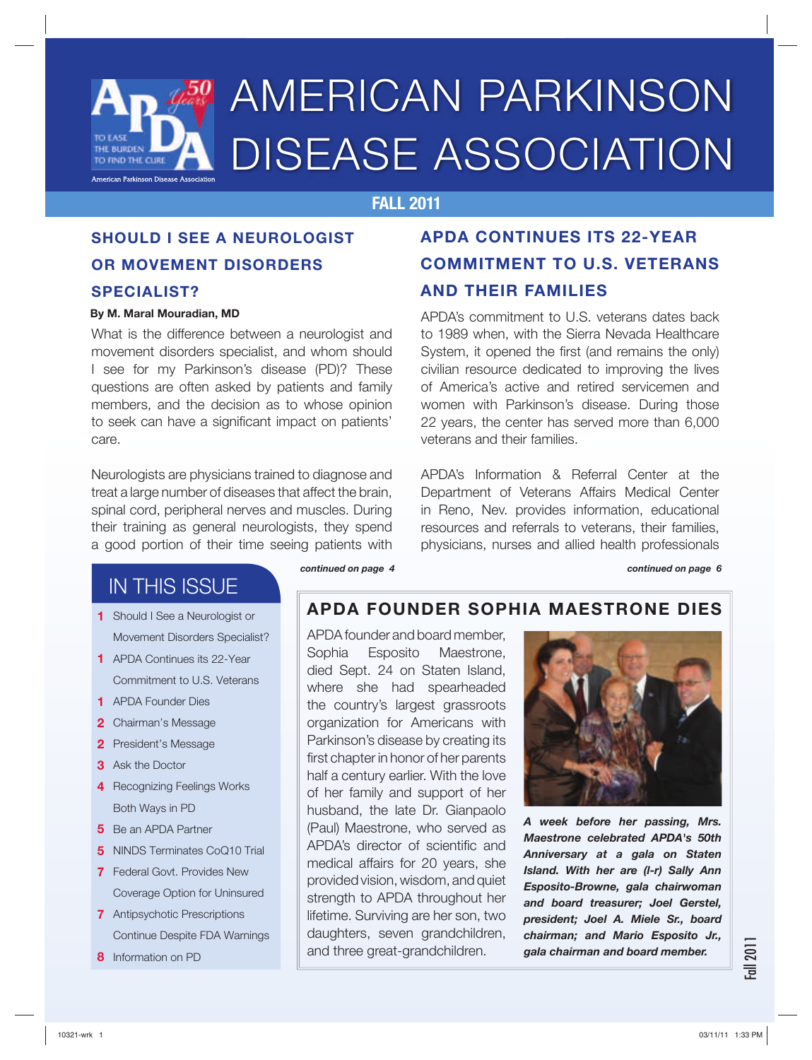

# AMERICAN PARKINSON DISEASE ASSOCIATION

## **FALL 2011**

## **SHOULD I SEE A NEUROLOGIST OR MOVEMENT DISORDERS SPECIALIST?**

### **By M. Maral Mouradian, MD**

What is the difference between a neurologist and movement disorders specialist, and whom should I see for my Parkinson's disease (PD)? These questions are often asked by patients and family members, and the decision as to whose opinion to seek can have a significant impact on patients' care.

Neurologists are physicians trained to diagnose and treat a large number of diseases that affect the brain, spinal cord, peripheral nerves and muscles. During their training as general neurologists, they spend a good portion of their time seeing patients with

## **APDA CONTINUES ITS 22-YEAR COMMITMENT TO U.S. VETERANS AND THEIR FAMILIES**

APDA's commitment to U.S. veterans dates back to 1989 when, with the Sierra Nevada Healthcare System, it opened the first (and remains the only) civilian resource dedicated to improving the lives of America's active and retired servicemen and women with Parkinson's disease. During those 22 years, the center has served more than 6,000 veterans and their families.

APDA's Information & Referral Center at the Department of Veterans Affairs Medical Center in Reno, Nev. provides information, educational resources and referrals to veterans, their families, physicians, nurses and allied health professionals

## IN THIS ISSUE

- Should I See a Neurologist or **1** Movement Disorders Specialist?
- APDA Continues its 22-Year **1** Commitment to U.S. Veterans
- APDA Founder Dies **1**
- 2 Chairman's Message
- 2 President's Message
- Ask the Doctor **3**
- 4 Recognizing Feelings Works Both Ways in PD
- **5** Be an APDA Partner
- **5** NINDS Terminates CoQ10 Trial
- Federal Govt. Provides New **7** Coverage Option for Uninsured
- Antipsychotic Prescriptions **7** Continue Despite FDA Warnings
- **8** Information on PD

*continued on page 4 continued on page 6*

## **APDA FOUNDER SOPHIA MAESTRONE DIES**

APDA founder and board member, Sophia Esposito Maestrone, died Sept. 24 on Staten Island, where she had spearheaded the country's largest grassroots organization for Americans with Parkinson's disease by creating its first chapter in honor of her parents half a century earlier. With the love of her family and support of her husband, the late Dr. Gianpaolo (Paul) Maestrone, who served as APDA's director of scientific and medical affairs for 20 years, she provided vision, wisdom, and quiet strength to APDA throughout her lifetime. Surviving are her son, two daughters, seven grandchildren, and three great-grandchildren.



*A week before her passing, Mrs. Maestrone celebrated APDA's 50th Anniversary at a gala on Staten Island. With her are (l-r) Sally Ann Esposito-Browne, gala chairwoman and board treasurer; Joel Gerstel, president; Joel A. Miele Sr., board chairman; and Mario Esposito Jr., gala chairman and board member.*

all 201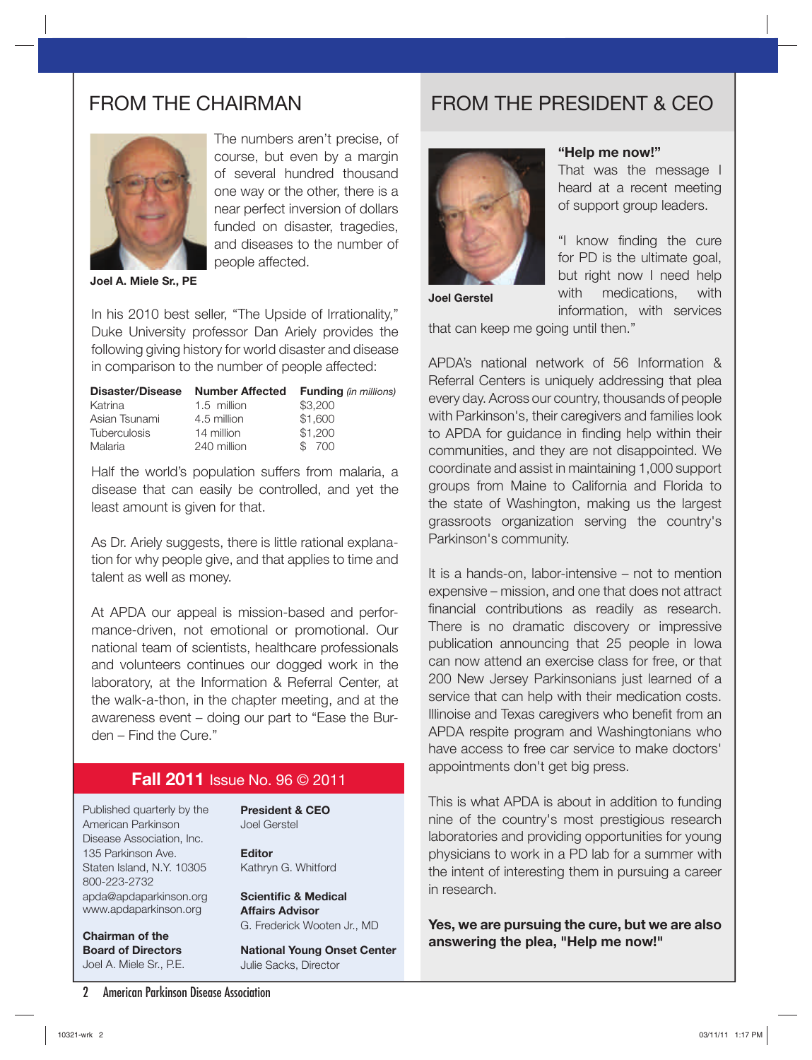

 $\overline{\phantom{a}}$ 

The numbers aren't precise, of course, but even by a margin of several hundred thousand one way or the other, there is a near perfect inversion of dollars funded on disaster, tragedies, and diseases to the number of people affected.

**Joel A. Miele Sr., PE**

In his 2010 best seller, "The Upside of Irrationality," Duke University professor Dan Ariely provides the following giving history for world disaster and disease in comparison to the number of people affected:

| <b>Number Affected</b> | <b>Funding</b> (in millions) |
|------------------------|------------------------------|
| 1.5 million            | \$3,200                      |
| 4.5 million            | \$1,600                      |
| 14 million             | \$1,200                      |
| 240 million            | \$700                        |
|                        |                              |

Half the world's population suffers from malaria, a disease that can easily be controlled, and yet the least amount is given for that.

As Dr. Ariely suggests, there is little rational explanation for why people give, and that applies to time and talent as well as money.

At APDA our appeal is mission-based and performance-driven, not emotional or promotional. Our national team of scientists, healthcare professionals and volunteers continues our dogged work in the laboratory, at the Information & Referral Center, at the walk-a-thon, in the chapter meeting, and at the awareness event – doing our part to "Ease the Burden – Find the Cure."

### **Fall 2011** Issue No. 96 © 2011

Published quarterly by the American Parkinson Disease Association, Inc. 135 Parkinson Ave. Staten Island, N.Y. 10305 800-223-2732 apda@apdaparkinson.org www.apdaparkinson.org

**President & CEO** Joel Gerstel

**Editor** Kathryn G. Whitford

**Scientific & Medical Affairs Advisor** G. Frederick Wooten Jr., MD

**Chairman of the Board of Directors** Joel A. Miele Sr., P.E.

**National Young Onset Center**  Julie Sacks, Director

## FROM THE CHAIRMAN FROM THE PRESIDENT & CEO



### **"Help me now!"**

That was the message I heard at a recent meeting of support group leaders.

"I know finding the cure for PD is the ultimate goal, but right now I need help with medications, with information, with services

**Joel Gerstel**

that can keep me going until then."

APDA's national network of 56 Information & Referral Centers is uniquely addressing that plea every day. Across our country, thousands of people with Parkinson's, their caregivers and families look to APDA for guidance in finding help within their communities, and they are not disappointed. We coordinate and assist in maintaining 1,000 support groups from Maine to California and Florida to the state of Washington, making us the largest grassroots organization serving the country's Parkinson's community.

It is a hands-on, labor-intensive – not to mention expensive – mission, and one that does not attract financial contributions as readily as research. There is no dramatic discovery or impressive publication announcing that 25 people in Iowa can now attend an exercise class for free, or that 200 New Jersey Parkinsonians just learned of a service that can help with their medication costs. Illinoise and Texas caregivers who benefit from an APDA respite program and Washingtonians who have access to free car service to make doctors' appointments don't get big press.

This is what APDA is about in addition to funding nine of the country's most prestigious research laboratories and providing opportunities for young physicians to work in a PD lab for a summer with the intent of interesting them in pursuing a career in research.

**Yes, we are pursuing the cure, but we are also answering the plea, "Help me now!"**

2 American Parkinson Disease Association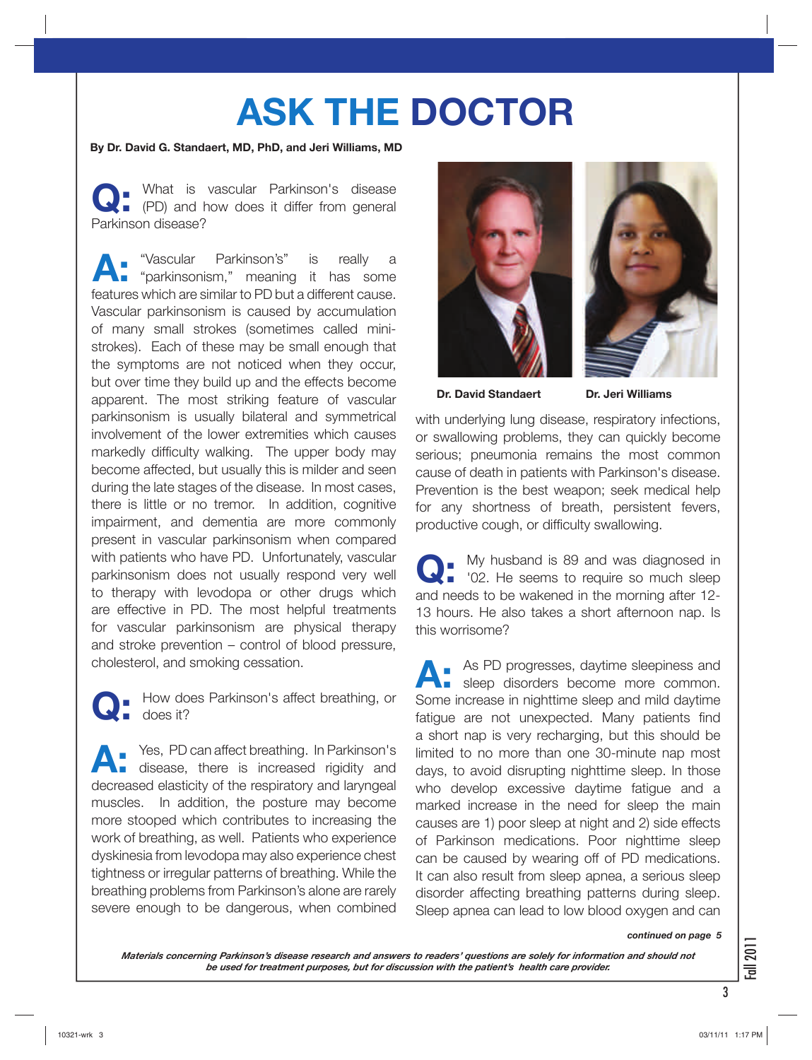# **ASK THE DOCTOR**

### **By Dr. David G. Standaert, MD, PhD, and Jeri Williams, MD**

**Q:** What is vascular Parkinson's disease (PD) and how does it differ from general Parkinson disease?

**A:** "Vascular Parkinson's" is really a "parkinsonism," meaning it has some features which are similar to PD but a different cause. Vascular parkinsonism is caused by accumulation of many small strokes (sometimes called ministrokes). Each of these may be small enough that the symptoms are not noticed when they occur, but over time they build up and the effects become apparent. The most striking feature of vascular parkinsonism is usually bilateral and symmetrical involvement of the lower extremities which causes markedly difficulty walking. The upper body may become affected, but usually this is milder and seen during the late stages of the disease. In most cases, there is little or no tremor. In addition, cognitive impairment, and dementia are more commonly present in vascular parkinsonism when compared with patients who have PD. Unfortunately, vascular parkinsonism does not usually respond very well to therapy with levodopa or other drugs which are effective in PD. The most helpful treatments for vascular parkinsonism are physical therapy and stroke prevention – control of blood pressure, cholesterol, and smoking cessation.

**Q:** How does Parkinson's affect breathing, or does it?

Yes, PD can affect breathing. In Parkinson's disease, there is increased rigidity and decreased elasticity of the respiratory and laryngeal muscles. In addition, the posture may become more stooped which contributes to increasing the work of breathing, as well. Patients who experience dyskinesia from levodopa may also experience chest tightness or irregular patterns of breathing. While the breathing problems from Parkinson's alone are rarely severe enough to be dangerous, when combined





**Dr. David Standaert Dr. Jeri Williams**

with underlying lung disease, respiratory infections, or swallowing problems, they can quickly become serious; pneumonia remains the most common cause of death in patients with Parkinson's disease. Prevention is the best weapon; seek medical help for any shortness of breath, persistent fevers, productive cough, or difficulty swallowing.

**Q:** My husband is 89 and was diagnosed in '02. He seems to require so much sleep and needs to be wakened in the morning after 12- 13 hours. He also takes a short afternoon nap. Is this worrisome?

**A:** As PD progresses, daytime sleepiness and sleep disorders become more common. Some increase in nighttime sleep and mild daytime fatigue are not unexpected. Many patients find a short nap is very recharging, but this should be limited to no more than one 30-minute nap most days, to avoid disrupting nighttime sleep. In those who develop excessive daytime fatigue and a marked increase in the need for sleep the main causes are 1) poor sleep at night and 2) side effects of Parkinson medications. Poor nighttime sleep can be caused by wearing off of PD medications. It can also result from sleep apnea, a serious sleep disorder affecting breathing patterns during sleep. Sleep apnea can lead to low blood oxygen and can

### *continued on page 5*

*Materials concerning Parkinson's disease research and answers to readers' questions are solely for information and should not be used for treatment purposes, but for discussion with the patient's health care provider.* 

3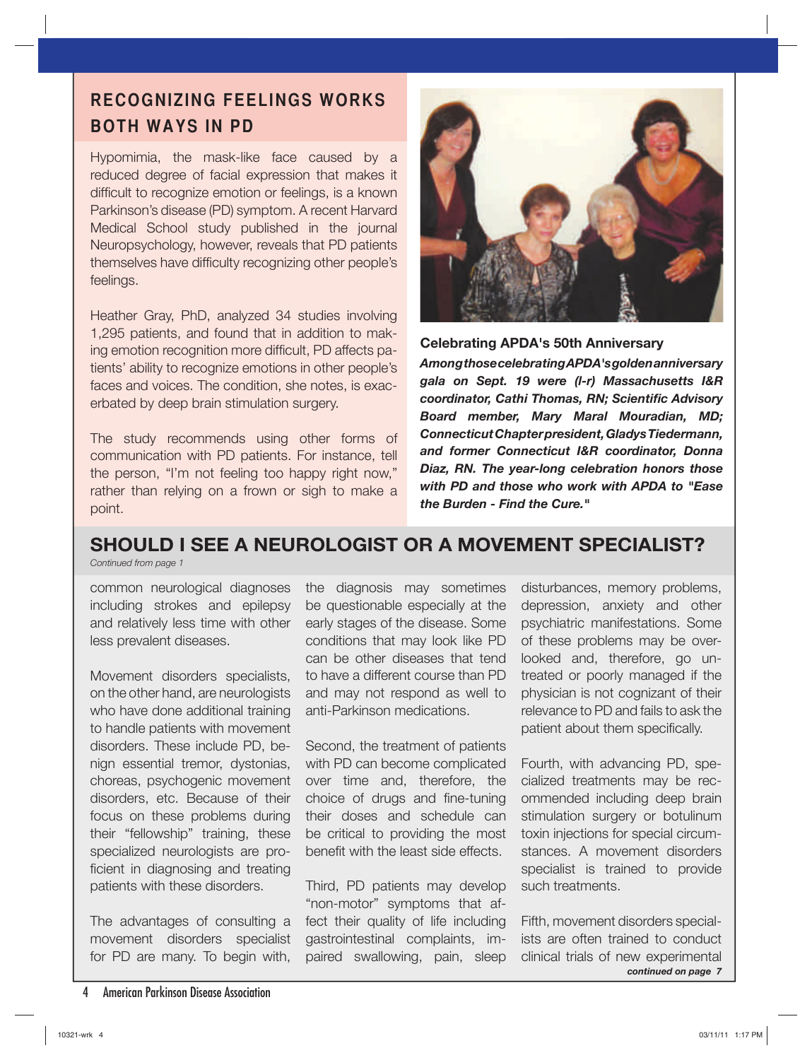## **RECOGNIZING FEELINGS WORKS BOTH WAYS IN PD**

Hypomimia, the mask-like face caused by a reduced degree of facial expression that makes it difficult to recognize emotion or feelings, is a known Parkinson's disease (PD) symptom. A recent Harvard Medical School study published in the journal Neuropsychology, however, reveals that PD patients themselves have difficulty recognizing other people's feelings.

Heather Gray, PhD, analyzed 34 studies involving 1,295 patients, and found that in addition to making emotion recognition more difficult, PD affects patients' ability to recognize emotions in other people's faces and voices. The condition, she notes, is exacerbated by deep brain stimulation surgery.

The study recommends using other forms of communication with PD patients. For instance, tell the person, "I'm not feeling too happy right now," rather than relying on a frown or sigh to make a point.



**Celebrating APDA's 50th Anniversary**

*Among those celebrating APDA's golden anniversary gala on Sept. 19 were (l-r) Massachusetts I&R coordinator, Cathi Thomas, RN; Scientific Advisory Board member, Mary Maral Mouradian, MD; Connecticut Chapter president, Gladys Tiedermann, and former Connecticut I&R coordinator, Donna Diaz, RN. The year-long celebration honors those with PD and those who work with APDA to "Ease the Burden - Find the Cure."*

## **SHOULD I SEE A NEUROLOGIST OR A MOVEMENT SPECIALIST?**

*Continued from page 1*

common neurological diagnoses including strokes and epilepsy and relatively less time with other less prevalent diseases.

Movement disorders specialists, on the other hand, are neurologists who have done additional training to handle patients with movement disorders. These include PD, benign essential tremor, dystonias, choreas, psychogenic movement disorders, etc. Because of their focus on these problems during their "fellowship" training, these specialized neurologists are proficient in diagnosing and treating patients with these disorders.

The advantages of consulting a movement disorders specialist for PD are many. To begin with,

the diagnosis may sometimes be questionable especially at the early stages of the disease. Some conditions that may look like PD can be other diseases that tend to have a different course than PD and may not respond as well to anti-Parkinson medications.

Second, the treatment of patients with PD can become complicated over time and, therefore, the choice of drugs and fine-tuning their doses and schedule can be critical to providing the most benefit with the least side effects.

Third, PD patients may develop "non-motor" symptoms that affect their quality of life including gastrointestinal complaints, impaired swallowing, pain, sleep

disturbances, memory problems, depression, anxiety and other psychiatric manifestations. Some of these problems may be overlooked and, therefore, go untreated or poorly managed if the physician is not cognizant of their relevance to PD and fails to ask the patient about them specifically.

Fourth, with advancing PD, specialized treatments may be recommended including deep brain stimulation surgery or botulinum toxin injections for special circumstances. A movement disorders specialist is trained to provide such treatments.

*continued on page 7* Fifth, movement disorders specialists are often trained to conduct clinical trials of new experimental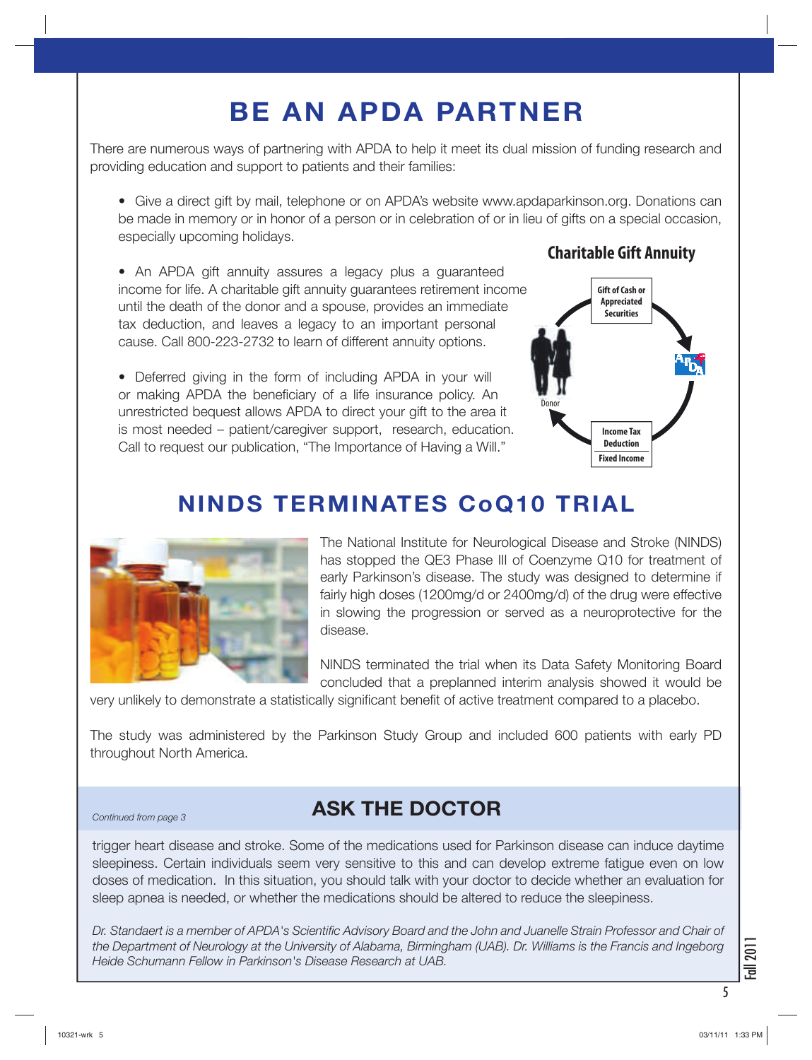## **BE AN APDA PARTNER**

There are numerous ways of partnering with APDA to help it meet its dual mission of funding research and providing education and support to patients and their families:

• Give a direct gift by mail, telephone or on APDA's website www.apdaparkinson.org. Donations can be made in memory or in honor of a person or in celebration of or in lieu of gifts on a special occasion, especially upcoming holidays.

• An APDA gift annuity assures a legacy plus a guaranteed income for life. A charitable gift annuity guarantees retirement income until the death of the donor and a spouse, provides an immediate tax deduction, and leaves a legacy to an important personal cause. Call 800-223-2732 to learn of different annuity options.

• Deferred giving in the form of including APDA in your will or making APDA the beneficiary of a life insurance policy. An unrestricted bequest allows APDA to direct your gift to the area it is most needed – patient/caregiver support, research, education. Call to request our publication, "The Importance of Having a Will."

## Donor **Gift of Cash or Appreciated Securities Income Tax Deduction**

**Fixed Income**

**Charitable Gift Annuity**

## **NINDS TERMINATES CoQ10 TRIAL**



The National Institute for Neurological Disease and Stroke (NINDS) has stopped the QE3 Phase III of Coenzyme Q10 for treatment of early Parkinson's disease. The study was designed to determine if fairly high doses (1200mg/d or 2400mg/d) of the drug were effective in slowing the progression or served as a neuroprotective for the disease.

NINDS terminated the trial when its Data Safety Monitoring Board concluded that a preplanned interim analysis showed it would be

very unlikely to demonstrate a statistically significant benefit of active treatment compared to a placebo.

The study was administered by the Parkinson Study Group and included 600 patients with early PD throughout North America.

## *Continued from page 3* **ASK THE DOCTOR**

trigger heart disease and stroke. Some of the medications used for Parkinson disease can induce daytime sleepiness. Certain individuals seem very sensitive to this and can develop extreme fatigue even on low doses of medication. In this situation, you should talk with your doctor to decide whether an evaluation for sleep apnea is needed, or whether the medications should be altered to reduce the sleepiness.

*Dr. Standaert is a member of APDA's Scientific Advisory Board and the John and Juanelle Strain Professor and Chair of the Department of Neurology at the University of Alabama, Birmingham (UAB). Dr. Williams is the Francis and Ingeborg Heide Schumann Fellow in Parkinson's Disease Research at UAB.*

Fall 201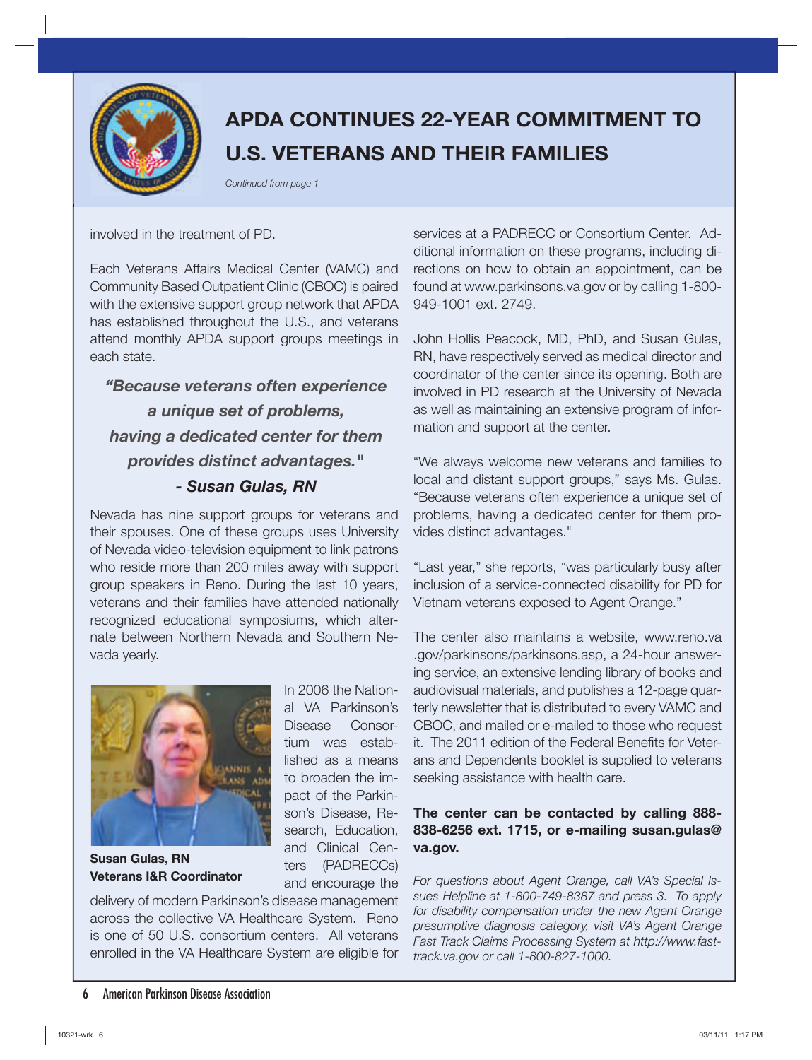

## **APDA CONTINUES 22-YEAR COMMITMENT TO U.S. VETERANS AND THEIR FAMILIES**

*Continued from page 1*

### involved in the treatment of PD.

Each Veterans Affairs Medical Center (VAMC) and Community Based Outpatient Clinic (CBOC) is paired with the extensive support group network that APDA has established throughout the U.S., and veterans attend monthly APDA support groups meetings in each state.

*"Because veterans often experience a unique set of problems, having a dedicated center for them provides distinct advantages." - Susan Gulas, RN*

Nevada has nine support groups for veterans and their spouses. One of these groups uses University of Nevada video-television equipment to link patrons who reside more than 200 miles away with support group speakers in Reno. During the last 10 years, veterans and their families have attended nationally recognized educational symposiums, which alternate between Northern Nevada and Southern Nevada yearly.



**Susan Gulas, RN Veterans I&R Coordinator**

In 2006 the National VA Parkinson's Disease Consortium was established as a means to broaden the impact of the Parkinson's Disease, Research, Education, and Clinical Centers (PADRECCs) and encourage the

delivery of modern Parkinson's disease management across the collective VA Healthcare System. Reno is one of 50 U.S. consortium centers. All veterans enrolled in the VA Healthcare System are eligible for

services at a PADRECC or Consortium Center. Additional information on these programs, including directions on how to obtain an appointment, can be found at www.parkinsons.va.gov or by calling 1-800- 949-1001 ext. 2749.

John Hollis Peacock, MD, PhD, and Susan Gulas, RN, have respectively served as medical director and coordinator of the center since its opening. Both are involved in PD research at the University of Nevada as well as maintaining an extensive program of information and support at the center.

"We always welcome new veterans and families to local and distant support groups," says Ms. Gulas. "Because veterans often experience a unique set of problems, having a dedicated center for them provides distinct advantages."

"Last year," she reports, "was particularly busy after inclusion of a service-connected disability for PD for Vietnam veterans exposed to Agent Orange."

The center also maintains a website, www.reno.va .gov/parkinsons/parkinsons.asp, a 24-hour answering service, an extensive lending library of books and audiovisual materials, and publishes a 12-page quarterly newsletter that is distributed to every VAMC and CBOC, and mailed or e-mailed to those who request it. The 2011 edition of the Federal Benefits for Veterans and Dependents booklet is supplied to veterans seeking assistance with health care.

### **The center can be contacted by calling 888- 838-6256 ext. 1715, or e-mailing susan.gulas@ va.gov.**

*For questions about Agent Orange, call VA's Special Issues Helpline at 1-800-749-8387 and press 3. To apply for disability compensation under the new Agent Orange presumptive diagnosis category, visit VA's Agent Orange Fast Track Claims Processing System at http://www.fasttrack.va.gov or call 1-800-827-1000.*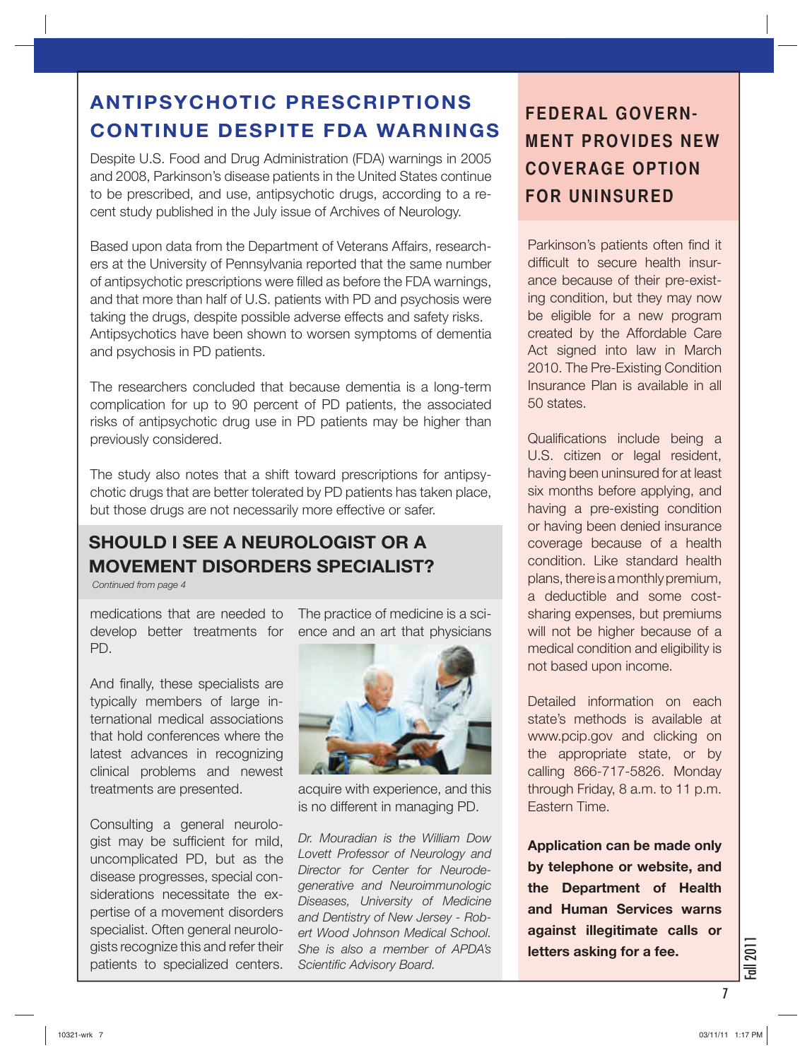## **ANTIPSYCHOTIC PRESCRIPTIONS CONTINUE DESPITE FDA WARNINGS**

Despite U.S. Food and Drug Administration (FDA) warnings in 2005 and 2008, Parkinson's disease patients in the United States continue to be prescribed, and use, antipsychotic drugs, according to a recent study published in the July issue of Archives of Neurology.

Based upon data from the Department of Veterans Affairs, researchers at the University of Pennsylvania reported that the same number of antipsychotic prescriptions were filled as before the FDA warnings, and that more than half of U.S. patients with PD and psychosis were taking the drugs, despite possible adverse effects and safety risks. Antipsychotics have been shown to worsen symptoms of dementia and psychosis in PD patients.

The researchers concluded that because dementia is a long-term complication for up to 90 percent of PD patients, the associated risks of antipsychotic drug use in PD patients may be higher than previously considered.

The study also notes that a shift toward prescriptions for antipsychotic drugs that are better tolerated by PD patients has taken place, but those drugs are not necessarily more effective or safer.

## **SHOULD I SEE A NEUROLOGIST OR A MOVEMENT DISORDERS SPECIALIST?**

*Continued from page 4*

medications that are needed to The practice of medicine is a scidevelop better treatments for PD.

And finally, these specialists are typically members of large international medical associations that hold conferences where the latest advances in recognizing clinical problems and newest treatments are presented.

Consulting a general neurologist may be sufficient for mild, uncomplicated PD, but as the disease progresses, special considerations necessitate the expertise of a movement disorders specialist. Often general neurologists recognize this and refer their patients to specialized centers.

ence and an art that physicians



acquire with experience, and this is no different in managing PD.

*Dr. Mouradian is the William Dow Lovett Professor of Neurology and Director for Center for Neurodegenerative and Neuroimmunologic Diseases, University of Medicine and Dentistry of New Jersey - Robert Wood Johnson Medical School. She is also a member of APDA's Scientific Advisory Board.*

## **FEDERAL GOVERN-MENT PROVIDES NEW COVERAGE OPTION FOR UNINSURED**

Parkinson's patients often find it difficult to secure health insurance because of their pre-existing condition, but they may now be eligible for a new program created by the Affordable Care Act signed into law in March 2010. The Pre-Existing Condition Insurance Plan is available in all 50 states.

Qualifications include being a U.S. citizen or legal resident, having been uninsured for at least six months before applying, and having a pre-existing condition or having been denied insurance coverage because of a health condition. Like standard health plans, there is a monthly premium, a deductible and some costsharing expenses, but premiums will not be higher because of a medical condition and eligibility is not based upon income.

Detailed information on each state's methods is available at www.pcip.gov and clicking on the appropriate state, or by calling 866-717-5826. Monday through Friday, 8 a.m. to 11 p.m. Eastern Time.

**Application can be made only by telephone or website, and the Department of Health and Human Services warns against illegitimate calls or letters asking for a fee.** 

Fall 2011

7